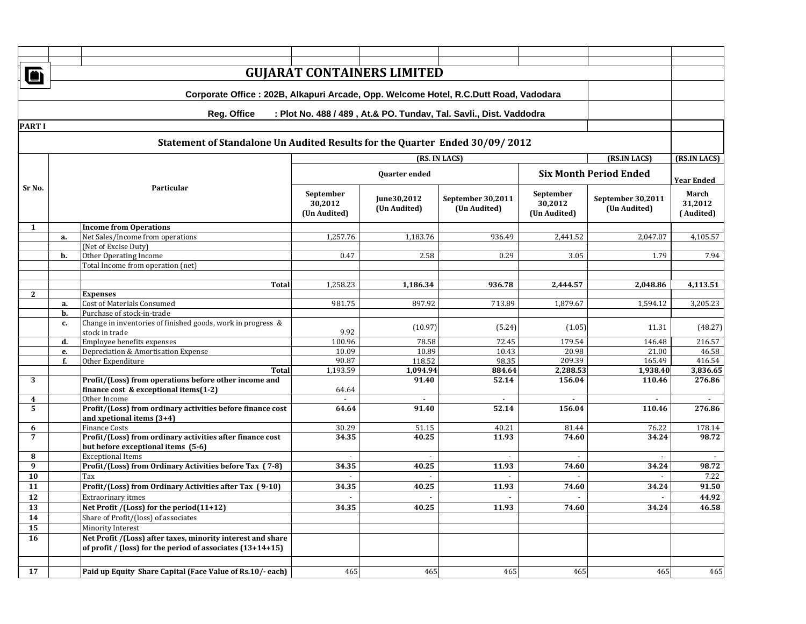|                         | <b>GUJARAT CONTAINERS LIMITED</b><br>Õ                                                |                                                                                                                             |                                                       |                             |                                                                    |                                      |                                   |                                                    |  |  |
|-------------------------|---------------------------------------------------------------------------------------|-----------------------------------------------------------------------------------------------------------------------------|-------------------------------------------------------|-----------------------------|--------------------------------------------------------------------|--------------------------------------|-----------------------------------|----------------------------------------------------|--|--|
|                         |                                                                                       |                                                                                                                             |                                                       |                             |                                                                    |                                      |                                   |                                                    |  |  |
|                         | Corporate Office : 202B, Alkapuri Arcade, Opp. Welcome Hotel, R.C.Dutt Road, Vadodara |                                                                                                                             |                                                       |                             |                                                                    |                                      |                                   |                                                    |  |  |
|                         |                                                                                       | <b>Reg. Office</b>                                                                                                          |                                                       |                             | : Plot No. 488 / 489, At.& PO. Tundav, Tal. Savli., Dist. Vaddodra |                                      |                                   |                                                    |  |  |
| <b>PART I</b>           |                                                                                       |                                                                                                                             |                                                       |                             |                                                                    |                                      |                                   |                                                    |  |  |
|                         |                                                                                       | Statement of Standalone Un Audited Results for the Quarter Ended 30/09/2012                                                 |                                                       |                             |                                                                    |                                      |                                   |                                                    |  |  |
|                         |                                                                                       |                                                                                                                             |                                                       |                             | (RS. IN LACS)                                                      |                                      | (RS.IN LACS)                      | (RS.IN LACS)                                       |  |  |
|                         |                                                                                       |                                                                                                                             | <b>Six Month Period Ended</b><br><b>Quarter</b> ended |                             |                                                                    |                                      |                                   |                                                    |  |  |
| Sr No.                  |                                                                                       | Particular                                                                                                                  | September<br>30,2012<br>(Un Audited)                  | June30,2012<br>(Un Audited) | September 30,2011<br>(Un Audited)                                  | September<br>30,2012<br>(Un Audited) | September 30,2011<br>(Un Audited) | <b>Year Ended</b><br>March<br>31,2012<br>(Audited) |  |  |
| 1                       |                                                                                       | <b>Income from Operations</b>                                                                                               |                                                       |                             |                                                                    |                                      |                                   |                                                    |  |  |
|                         | a.                                                                                    | Net Sales/Income from operations                                                                                            | 1,257.76                                              | 1,183.76                    | 936.49                                                             | 2,441.52                             | 2,047.07                          | 4,105.57                                           |  |  |
|                         |                                                                                       | (Net of Excise Duty)                                                                                                        |                                                       |                             |                                                                    |                                      |                                   |                                                    |  |  |
|                         | b.                                                                                    | Other Operating Income                                                                                                      | 0.47                                                  | 2.58                        | 0.29                                                               | 3.05                                 | 1.79                              | 7.94                                               |  |  |
|                         |                                                                                       | Total Income from operation (net)                                                                                           |                                                       |                             |                                                                    |                                      |                                   |                                                    |  |  |
|                         |                                                                                       | <b>Total</b>                                                                                                                | 1,258.23                                              | 1,186.34                    | 936.78                                                             | 2,444.57                             | 2,048.86                          | 4,113.51                                           |  |  |
| $\mathbf{2}$            |                                                                                       | <b>Expenses</b>                                                                                                             |                                                       |                             |                                                                    |                                      |                                   |                                                    |  |  |
|                         | a.                                                                                    | <b>Cost of Materials Consumed</b>                                                                                           | 981.75                                                | 897.92                      | 713.89                                                             | 1,879.67                             | 1,594.12                          | 3,205.23                                           |  |  |
|                         | b.                                                                                    | Purchase of stock-in-trade                                                                                                  |                                                       |                             |                                                                    |                                      |                                   |                                                    |  |  |
|                         | c.                                                                                    | Change in inventories of finished goods, work in progress &<br>stock in trade                                               | 9.92                                                  | (10.97)                     | (5.24)                                                             | (1.05)                               | 11.31                             | (48.27)                                            |  |  |
|                         | d.                                                                                    | Employee benefits expenses                                                                                                  | 100.96                                                | 78.58                       | 72.45                                                              | 179.54                               | 146.48                            | $2\overline{16.57}$                                |  |  |
|                         | е.                                                                                    | Depreciation & Amortisation Expense                                                                                         | 10.09                                                 | 10.89                       | 10.43                                                              | 20.98                                | 21.00                             | 46.58                                              |  |  |
|                         | f.                                                                                    | Other Expenditure                                                                                                           | 90.87                                                 | 118.52                      | 98.35                                                              | 209.39                               | 165.49                            | 416.54                                             |  |  |
| 3                       |                                                                                       | Total<br>Profit/(Loss) from operations before other income and                                                              | 1,193.59                                              | 1,094.94<br>91.40           | 884.64<br>52.14                                                    | 2,288.53<br>156.04                   | 1,938.40<br>110.46                | 3,836.65<br>276.86                                 |  |  |
|                         |                                                                                       | finance cost & exceptional items $(1-2)$                                                                                    | 64.64                                                 |                             |                                                                    |                                      |                                   |                                                    |  |  |
| $\overline{\mathbf{4}}$ |                                                                                       | Other Income                                                                                                                |                                                       |                             |                                                                    |                                      |                                   |                                                    |  |  |
| 5                       |                                                                                       | Profit/(Loss) from ordinary activities before finance cost<br>and xpetional items $(3+4)$                                   | 64.64                                                 | 91.40                       | 52.14                                                              | 156.04                               | 110.46                            | 276.86                                             |  |  |
| 6                       |                                                                                       | <b>Finance Costs</b>                                                                                                        | 30.29                                                 | 51.15                       | 40.21                                                              | 81.44                                | 76.22                             | 178.14                                             |  |  |
| $\overline{7}$          |                                                                                       | Profit/(Loss) from ordinary activities after finance cost<br>but before exceptional items (5-6)                             | 34.35                                                 | 40.25                       | 11.93                                                              | 74.60                                | 34.24                             | 98.72                                              |  |  |
| 8                       |                                                                                       | <b>Exceptional Items</b>                                                                                                    |                                                       |                             |                                                                    |                                      |                                   |                                                    |  |  |
| 9                       |                                                                                       | Profit/(Loss) from Ordinary Activities before Tax (7-8)                                                                     | 34.35                                                 | 40.25                       | 11.93                                                              | 74.60                                | 34.24                             | 98.72                                              |  |  |
| 10                      |                                                                                       | Tax                                                                                                                         | $\sim$                                                |                             |                                                                    |                                      |                                   | 7.22                                               |  |  |
| 11                      |                                                                                       | Profit/(Loss) from Ordinary Activities after Tax (9-10)                                                                     | 34.35                                                 | 40.25                       | 11.93                                                              | 74.60                                | 34.24                             | 91.50                                              |  |  |
| 12                      |                                                                                       | Extraorinary itmes                                                                                                          | $\blacksquare$                                        | $\blacksquare$              | $\blacksquare$                                                     | $\blacksquare$                       | $\blacksquare$                    | 44.92                                              |  |  |
| 13                      |                                                                                       | Net Profit /(Loss) for the period(11+12)                                                                                    | 34.35                                                 | 40.25                       | 11.93                                                              | 74.60                                | 34.24                             | 46.58                                              |  |  |
| 14                      |                                                                                       | Share of Profit/(loss) of associates                                                                                        |                                                       |                             |                                                                    |                                      |                                   |                                                    |  |  |
| 15                      |                                                                                       | Minority Interest                                                                                                           |                                                       |                             |                                                                    |                                      |                                   |                                                    |  |  |
| 16                      |                                                                                       | Net Profit /(Loss) after taxes, minority interest and share<br>of profit / (loss) for the period of associates $(13+14+15)$ |                                                       |                             |                                                                    |                                      |                                   |                                                    |  |  |
|                         |                                                                                       |                                                                                                                             |                                                       |                             |                                                                    |                                      |                                   |                                                    |  |  |
| 17                      |                                                                                       | Paid up Equity Share Capital (Face Value of Rs.10/- each)                                                                   | 465                                                   | 465                         | 465                                                                | 465                                  | 465                               | 465                                                |  |  |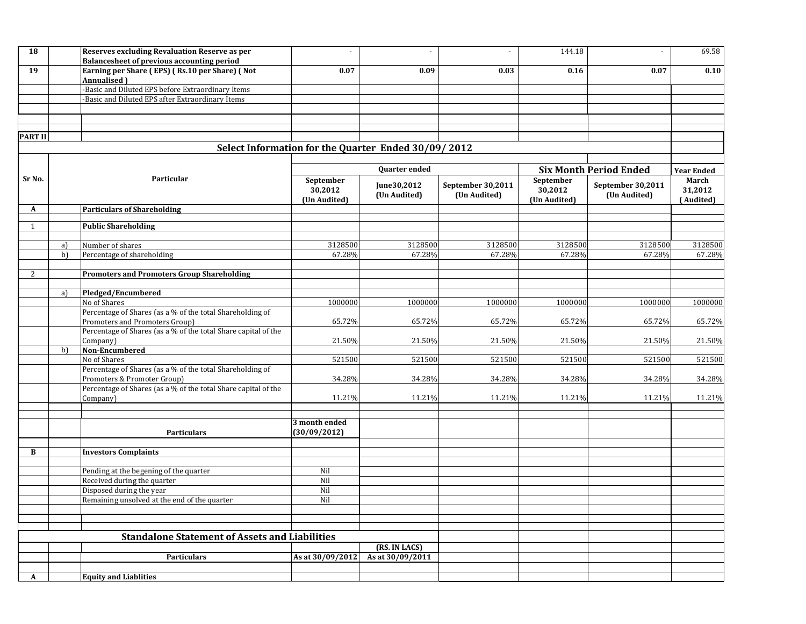| 18             |                                                       | <b>Reserves excluding Revaluation Reserve as per</b><br>Balancesheet of previous accounting period | ÷,                                                    |                                                     | $\sim$                   | 144.18       | $\sim$            | 69.58             |
|----------------|-------------------------------------------------------|----------------------------------------------------------------------------------------------------|-------------------------------------------------------|-----------------------------------------------------|--------------------------|--------------|-------------------|-------------------|
| 19             |                                                       | Earning per Share (EPS) (Rs.10 per Share) (Not                                                     | 0.07                                                  | 0.09                                                | 0.03                     | 0.16         | 0.07              | 0.10              |
|                |                                                       | Annualised)                                                                                        |                                                       |                                                     |                          |              |                   |                   |
|                |                                                       | Basic and Diluted EPS before Extraordinary Items                                                   |                                                       |                                                     |                          |              |                   |                   |
|                |                                                       | Basic and Diluted EPS after Extraordinary Items                                                    |                                                       |                                                     |                          |              |                   |                   |
|                |                                                       |                                                                                                    |                                                       |                                                     |                          |              |                   |                   |
|                |                                                       |                                                                                                    |                                                       |                                                     |                          |              |                   |                   |
| <b>PART II</b> |                                                       |                                                                                                    |                                                       |                                                     |                          |              |                   |                   |
|                |                                                       |                                                                                                    |                                                       | Select Information for the Quarter Ended 30/09/2012 |                          |              |                   |                   |
|                |                                                       | Particular                                                                                         | <b>Quarter ended</b><br><b>Six Month Period Ended</b> |                                                     |                          |              |                   | <b>Year Ended</b> |
| Sr No.         |                                                       |                                                                                                    | September                                             |                                                     |                          | September    |                   | March             |
|                |                                                       |                                                                                                    | 30,2012                                               | June30,2012                                         | <b>September 30,2011</b> | 30,2012      | September 30,2011 | 31,2012           |
|                |                                                       |                                                                                                    | (Un Audited)                                          | (Un Audited)                                        | (Un Audited)             | (Un Audited) | (Un Audited)      | (Audited)         |
| A              |                                                       | <b>Particulars of Shareholding</b>                                                                 |                                                       |                                                     |                          |              |                   |                   |
| $\mathbf{1}$   |                                                       | <b>Public Shareholding</b>                                                                         |                                                       |                                                     |                          |              |                   |                   |
|                |                                                       |                                                                                                    |                                                       |                                                     |                          |              |                   |                   |
|                | a)                                                    | Number of shares                                                                                   | 3128500                                               | 3128500                                             | 3128500                  | 3128500      | 3128500           | 3128500           |
|                | b)                                                    | Percentage of shareholding                                                                         | 67.28%                                                | 67.28%                                              | 67.28%                   | 67.28%       | 67.28%            | 67.28%            |
| 2              |                                                       | <b>Promoters and Promoters Group Shareholding</b>                                                  |                                                       |                                                     |                          |              |                   |                   |
|                |                                                       |                                                                                                    |                                                       |                                                     |                          |              |                   |                   |
|                | a)                                                    | Pledged/Encumbered                                                                                 |                                                       |                                                     |                          |              |                   |                   |
|                |                                                       | No of Shares                                                                                       | 1000000                                               | 1000000                                             | 1000000                  | 1000000      | 1000000           | 1000000           |
|                |                                                       | Percentage of Shares (as a % of the total Shareholding of                                          |                                                       |                                                     |                          |              |                   |                   |
|                |                                                       | Promoters and Promoters Group)<br>Percentage of Shares (as a % of the total Share capital of the   | 65.72%                                                | 65.72%                                              | 65.72%                   | 65.72%       | 65.72%            | 65.72%            |
|                |                                                       | Company)                                                                                           | 21.50%                                                | 21.50%                                              | 21.50%                   | 21.50%       | 21.50%            | 21.50%            |
|                | b)                                                    | Non-Encumbered                                                                                     |                                                       |                                                     |                          |              |                   |                   |
|                |                                                       | No of Shares                                                                                       | 521500                                                | 521500                                              | 521500                   | 521500       | 521500            | 521500            |
|                |                                                       | Percentage of Shares (as a % of the total Shareholding of                                          |                                                       |                                                     |                          |              |                   |                   |
|                |                                                       | Promoters & Promoter Group)<br>Percentage of Shares (as a % of the total Share capital of the      | 34.28%                                                | 34.28%                                              | 34.28%                   | 34.28%       | 34.28%            | 34.28%            |
|                |                                                       | Company)                                                                                           | 11.21%                                                | 11.21%                                              | 11.21%                   | 11.21%       | 11.21%            | 11.21%            |
|                |                                                       |                                                                                                    |                                                       |                                                     |                          |              |                   |                   |
|                |                                                       |                                                                                                    | 3 month ended                                         |                                                     |                          |              |                   |                   |
|                |                                                       | <b>Particulars</b>                                                                                 | (30/09/2012)                                          |                                                     |                          |              |                   |                   |
|                |                                                       |                                                                                                    |                                                       |                                                     |                          |              |                   |                   |
| В              |                                                       | <b>Investors Complaints</b>                                                                        |                                                       |                                                     |                          |              |                   |                   |
|                |                                                       |                                                                                                    |                                                       |                                                     |                          |              |                   |                   |
|                |                                                       | Pending at the begening of the quarter                                                             | Nil                                                   |                                                     |                          |              |                   |                   |
|                |                                                       | Received during the quarter<br>Disposed during the year                                            | Nil<br>Nil                                            |                                                     |                          |              |                   |                   |
|                |                                                       | Remaining unsolved at the end of the quarter                                                       | Nil                                                   |                                                     |                          |              |                   |                   |
|                |                                                       |                                                                                                    |                                                       |                                                     |                          |              |                   |                   |
|                |                                                       |                                                                                                    |                                                       |                                                     |                          |              |                   |                   |
|                |                                                       |                                                                                                    |                                                       |                                                     |                          |              |                   |                   |
|                | <b>Standalone Statement of Assets and Liabilities</b> |                                                                                                    |                                                       |                                                     |                          |              |                   |                   |
|                |                                                       | <b>Particulars</b>                                                                                 | As at 30/09/2012                                      | (RS. IN LACS)<br>As at 30/09/2011                   |                          |              |                   |                   |
|                |                                                       |                                                                                                    |                                                       |                                                     |                          |              |                   |                   |
| A              |                                                       | <b>Equity and Liablities</b>                                                                       |                                                       |                                                     |                          |              |                   |                   |
|                |                                                       |                                                                                                    |                                                       |                                                     |                          |              |                   |                   |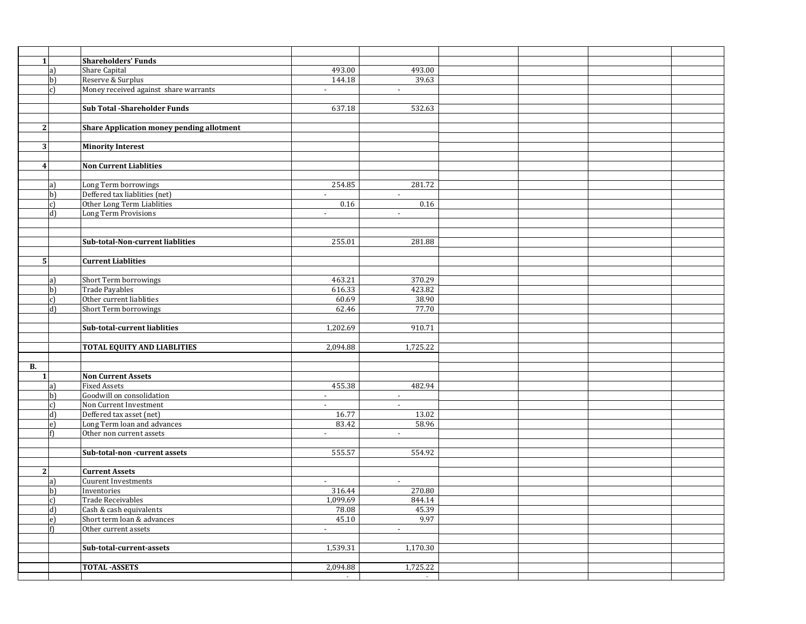| 1 <sup>1</sup> |                | <b>Shareholders' Funds</b>                       |                |                          |  |  |
|----------------|----------------|--------------------------------------------------|----------------|--------------------------|--|--|
|                | a)             | <b>Share Capital</b>                             | 493.00         | 493.00                   |  |  |
|                | b)             | Reserve & Surplus                                | 144.18         | 39.63                    |  |  |
|                | $\mathbf{c}$   | Money received against share warrants            | $\blacksquare$ | $\blacksquare$           |  |  |
|                |                |                                                  |                |                          |  |  |
|                |                | <b>Sub Total -Shareholder Funds</b>              | 637.18         | 532.63                   |  |  |
|                |                |                                                  |                |                          |  |  |
| 2 <sub>l</sub> |                | <b>Share Application money pending allotment</b> |                |                          |  |  |
|                |                |                                                  |                |                          |  |  |
| $\overline{3}$ |                | <b>Minority Interest</b>                         |                |                          |  |  |
|                |                |                                                  |                |                          |  |  |
| 4              |                | <b>Non Current Liablities</b>                    |                |                          |  |  |
|                |                |                                                  |                |                          |  |  |
|                | a)             | Long Term borrowings                             | 254.85         | 281.72                   |  |  |
|                | $\mathbf{b}$   | Deffered tax liablities (net)                    | $\blacksquare$ | $\sim$                   |  |  |
|                | c)             | Other Long Term Liablities                       | 0.16           | 0.16                     |  |  |
|                | d              | Long Term Provisions                             | $\sim$         | $\sim$                   |  |  |
|                |                |                                                  |                |                          |  |  |
|                |                |                                                  |                |                          |  |  |
|                |                | Sub-total-Non-current liablities                 | 255.01         | 281.88                   |  |  |
|                |                |                                                  |                |                          |  |  |
| 5 <sub>l</sub> |                | <b>Current Liablities</b>                        |                |                          |  |  |
|                |                |                                                  |                |                          |  |  |
|                | a)             | Short Term borrowings                            | 463.21         | 370.29                   |  |  |
|                | $\mathbf{b}$   | Trade Payables                                   | 616.33         | 423.82                   |  |  |
|                | $\mathbf{c}$   | Other current liablities                         | 60.69          | 38.90                    |  |  |
|                | d)             | Short Term borrowings                            | 62.46          | 77.70                    |  |  |
|                |                |                                                  |                |                          |  |  |
|                |                | Sub-total-current liablities                     | 1,202.69       | 910.71                   |  |  |
|                |                |                                                  |                |                          |  |  |
|                |                | <b>TOTAL EQUITY AND LIABLITIES</b>               | 2,094.88       | 1,725.22                 |  |  |
|                |                |                                                  |                |                          |  |  |
| В.             |                |                                                  |                |                          |  |  |
| 1 <sup>1</sup> |                | <b>Non Current Assets</b>                        |                |                          |  |  |
|                | a)             | <b>Fixed Assets</b>                              | 455.38         | 482.94                   |  |  |
|                | $\mathbf{b}$   | Goodwill on consolidation                        | $\blacksquare$ | $\overline{\phantom{a}}$ |  |  |
|                | c)             | Non Current Investment                           | $\blacksquare$ | $\blacksquare$           |  |  |
|                | d              | Deffered tax asset (net)                         | 16.77          | 13.02                    |  |  |
|                | e)             | Long Term loan and advances                      | 83.42          | 58.96                    |  |  |
|                |                | Other non current assets                         | $\sim$         | $\sim$                   |  |  |
|                |                |                                                  |                |                          |  |  |
|                |                | Sub-total-non -current assets                    | 555.57         | 554.92                   |  |  |
|                |                |                                                  |                |                          |  |  |
| $\overline{2}$ |                | <b>Current Assets</b>                            |                |                          |  |  |
|                | a)             | <b>Cuurent Investments</b>                       | $\blacksquare$ | $\sim$                   |  |  |
|                | $\mathbf{b}$   | Inventories                                      | 316.44         | 270.80                   |  |  |
|                | c              | <b>Trade Receivables</b>                         | 1,099.69       | 844.14                   |  |  |
|                | $\overline{d}$ | Cash & cash equivalents                          | 78.08          | 45.39                    |  |  |
|                | e)             | Short term loan & advances                       | 45.10          | 9.97                     |  |  |
|                |                | Other current assets                             | $\blacksquare$ | $\sim$                   |  |  |
|                |                |                                                  |                |                          |  |  |
|                |                | Sub-total-current-assets                         | 1,539.31       | 1,170.30                 |  |  |
|                |                |                                                  |                |                          |  |  |
|                |                | <b>TOTAL-ASSETS</b>                              | 2,094.88       | 1,725.22                 |  |  |
|                |                |                                                  | $\sim$         | $\sim$                   |  |  |